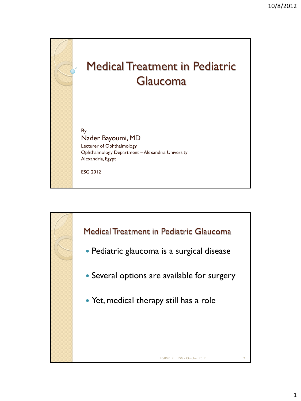

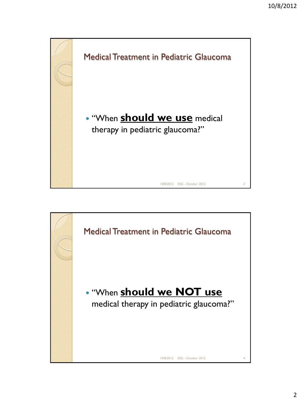

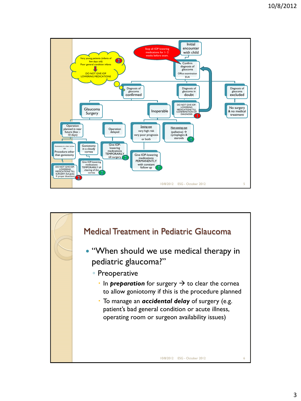

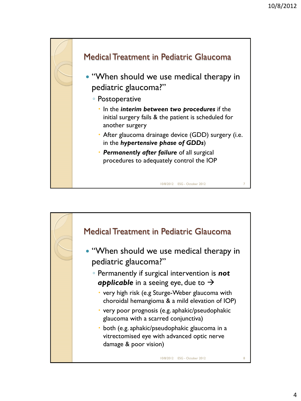

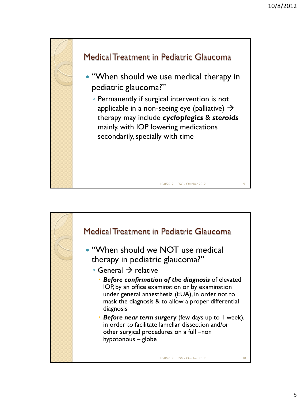

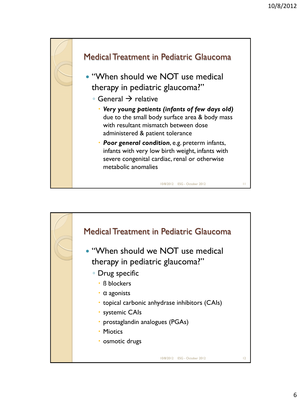

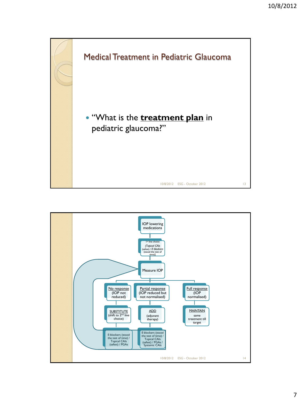

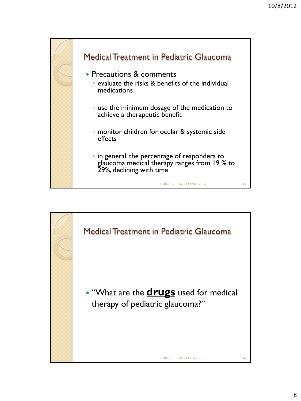

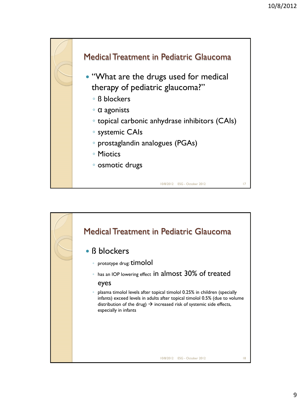

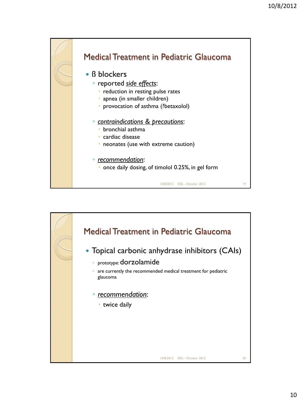

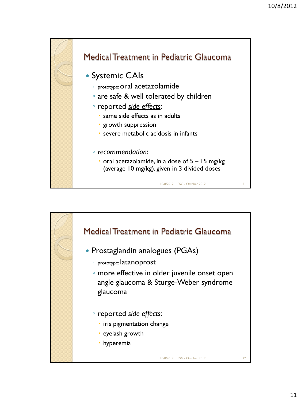

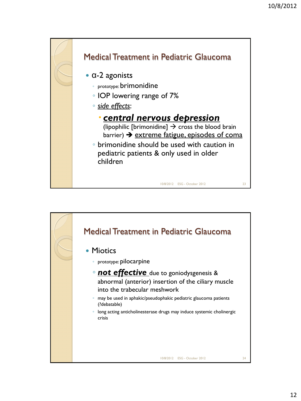



12